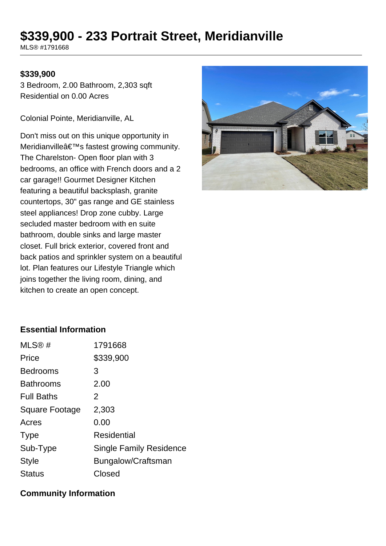# **\$339,900 - 233 Portrait Street, Meridianville**

MLS® #1791668

#### **\$339,900**

3 Bedroom, 2.00 Bathroom, 2,303 sqft Residential on 0.00 Acres

Colonial Pointe, Meridianville, AL

Don't miss out on this unique opportunity in Meridianville's fastest growing community. The Charelston- Open floor plan with 3 bedrooms, an office with French doors and a 2 car garage!! Gourmet Designer Kitchen featuring a beautiful backsplash, granite countertops, 30" gas range and GE stainless steel appliances! Drop zone cubby. Large secluded master bedroom with en suite bathroom, double sinks and large master closet. Full brick exterior, covered front and back patios and sprinkler system on a beautiful lot. Plan features our Lifestyle Triangle which joins together the living room, dining, and kitchen to create an open concept.



#### **Essential Information**

| 1791668                        |
|--------------------------------|
| \$339,900                      |
| 3                              |
| 2.00                           |
| 2                              |
| 2,303                          |
| 0.00                           |
| <b>Residential</b>             |
| <b>Single Family Residence</b> |
| Bungalow/Craftsman             |
| Closed                         |
|                                |

#### **Community Information**